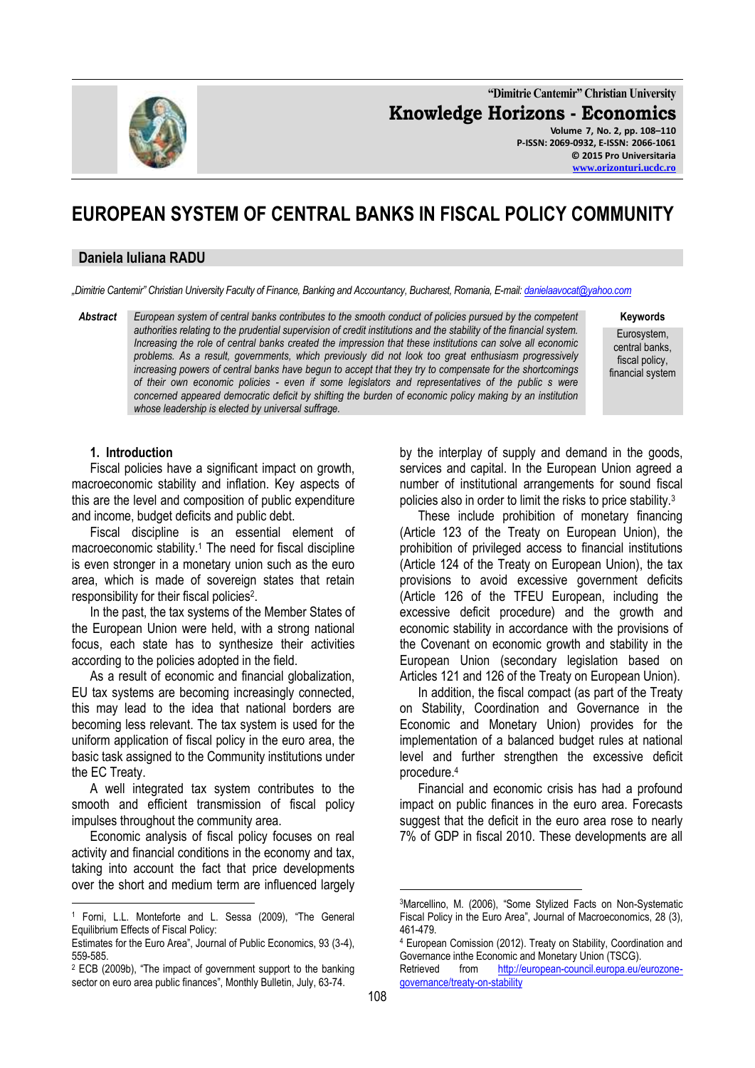

**"Dimitrie Cantemir" Christian University Knowledge Horizons - Economics Volume 7, No. 2, pp. 108–110 P-ISSN: 2069-0932, E-ISSN: 2066-1061 © 2015 Pro Universitaria**

**EUROPEAN SYSTEM OF CENTRAL BANKS IN FISCAL POLICY COMMUNITY** 

#### **Daniela Iuliana RADU**

*"Dimitrie Cantemir" Christian University Faculty of Finance, Banking and Accountancy, Bucharest, Romania, E-mail[: danielaavocat@yahoo.com](mailto:danielaavocat@yahoo.com)*

*Abstract European system of central banks contributes to the smooth conduct of policies pursued by the competent authorities relating to the prudential supervision of credit institutions and the stability of the financial system. Increasing the role of central banks created the impression that these institutions can solve all economic problems. As a result, governments, which previously did not look too great enthusiasm progressively increasing powers of central banks have begun to accept that they try to compensate for the shortcomings of their own economic policies - even if some legislators and representatives of the public s were concerned appeared democratic deficit by shifting the burden of economic policy making by an institution whose leadership is elected by universal suffrage.* 

**Keywords**

**[www.orizonturi.ucdc.ro](http://www.orizonturi.ucdc.ro/)**

Eurosystem, central banks, fiscal policy, financial system

### **1. Introduction**

Fiscal policies have a significant impact on growth, macroeconomic stability and inflation. Key aspects of this are the level and composition of public expenditure and income, budget deficits and public debt.

Fiscal discipline is an essential element of macroeconomic stability.<sup>1</sup> The need for fiscal discipline is even stronger in a monetary union such as the euro area, which is made of sovereign states that retain responsibility for their fiscal policies<sup>2</sup>.

In the past, the tax systems of the Member States of the European Union were held, with a strong national focus, each state has to synthesize their activities according to the policies adopted in the field.

As a result of economic and financial globalization, EU tax systems are becoming increasingly connected, this may lead to the idea that national borders are becoming less relevant. The tax system is used for the uniform application of fiscal policy in the euro area, the basic task assigned to the Community institutions under the EC Treaty.

A well integrated tax system contributes to the smooth and efficient transmission of fiscal policy impulses throughout the community area.

Economic analysis of fiscal policy focuses on real activity and financial conditions in the economy and tax, taking into account the fact that price developments over the short and medium term are influenced largely

1

by the interplay of supply and demand in the goods, services and capital. In the European Union agreed a number of institutional arrangements for sound fiscal policies also in order to limit the risks to price stability.<sup>3</sup>

These include prohibition of monetary financing (Article 123 of the Treaty on European Union), the prohibition of privileged access to financial institutions (Article 124 of the Treaty on European Union), the tax provisions to avoid excessive government deficits (Article 126 of the TFEU European, including the excessive deficit procedure) and the growth and economic stability in accordance with the provisions of the Covenant on economic growth and stability in the European Union (secondary legislation based on Articles 121 and 126 of the Treaty on European Union).

In addition, the fiscal compact (as part of the Treaty on Stability, Coordination and Governance in the Economic and Monetary Union) provides for the implementation of a balanced budget rules at national level and further strengthen the excessive deficit procedure.<sup>4</sup>

Financial and economic crisis has had a profound impact on public finances in the euro area. Forecasts suggest that the deficit in the euro area rose to nearly 7% of GDP in fiscal 2010. These developments are all

<u>.</u>

<sup>1</sup> Forni, L.L. Monteforte and L. Sessa (2009), "The General Equilibrium Effects of Fiscal Policy:

Estimates for the Euro Area", Journal of Public Economics, 93 (3-4), 559-585.

<sup>2</sup> ECB (2009b), "The impact of government support to the banking sector on euro area public finances", Monthly Bulletin, July, 63-74.

<sup>3</sup>Marcellino, M. (2006), "Some Stylized Facts on Non-Systematic Fiscal Policy in the Euro Area", Journal of Macroeconomics, 28 (3), 461-479.

<sup>4</sup> European Comission (2012). Treaty on Stability, Coordination and Governance inthe Economic and Monetary Union (TSCG). Retrieved from [http://european-council.europa.eu/eurozone](http://european-council.europa.eu/eurozone-governance/treaty-on-stability)[governance/treaty-on-stability](http://european-council.europa.eu/eurozone-governance/treaty-on-stability)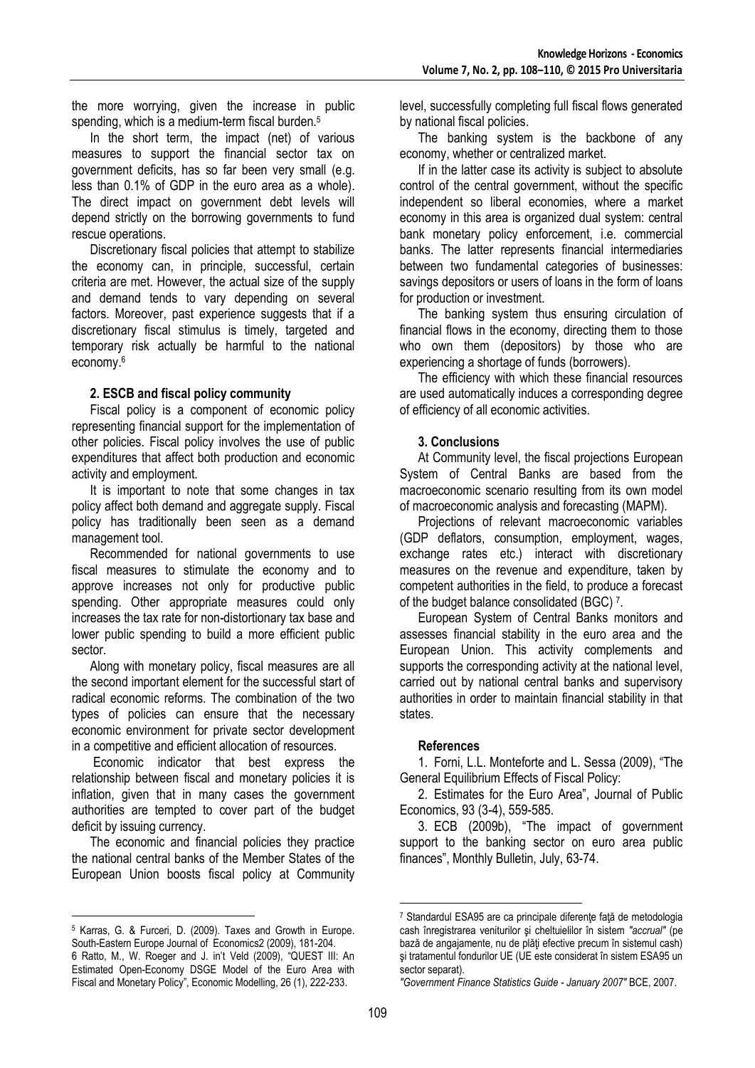the more worrying, given the increase in public spending, which is a medium-term fiscal burden.<sup>5</sup>

In the short term, the impact (net) of various measures to support the financial sector tax on government deficits, has so far been very small (e.g. less than 0.1% of GDP in the euro area as a whole). The direct impact on government debt levels will depend strictly on the borrowing governments to fund rescue operations.

Discretionary fiscal policies that attempt to stabilize the economy can, in principle, successful, certain criteria are met. However, the actual size of the supply and demand tends to vary depending on several factors. Moreover, past experience suggests that if a discretionary fiscal stimulus is timely, targeted and temporary risk actually be harmful to the national economy.<sup>6</sup>

## **2. ESCB and fiscal policy community**

Fiscal policy is a component of economic policy representing financial support for the implementation of other policies. Fiscal policy involves the use of public expenditures that affect both production and economic activity and employment.

It is important to note that some changes in tax policy affect both demand and aggregate supply. Fiscal policy has traditionally been seen as a demand management tool.

Recommended for national governments to use fiscal measures to stimulate the economy and to approve increases not only for productive public spending. Other appropriate measures could only increases the tax rate for non-distortionary tax base and lower public spending to build a more efficient public sector.

Along with monetary policy, fiscal measures are all the second important element for the successful start of radical economic reforms. The combination of the two types of policies can ensure that the necessary economic environment for private sector development in a competitive and efficient allocation of resources.

Economic indicator that best express the relationship between fiscal and monetary policies it is inflation, given that in many cases the government authorities are tempted to cover part of the budget deficit by issuing currency.

The economic and financial policies they practice the national central banks of the Member States of the European Union boosts fiscal policy at Community

1

level, successfully completing full fiscal flows generated by national fiscal policies.

The banking system is the backbone of any economy, whether or centralized market.

If in the latter case its activity is subject to absolute control of the central government, without the specific independent so liberal economies, where a market economy in this area is organized dual system: central bank monetary policy enforcement, i.e. commercial banks. The latter represents financial intermediaries between two fundamental categories of businesses: savings depositors or users of loans in the form of loans for production or investment.

The banking system thus ensuring circulation of financial flows in the economy, directing them to those who own them (depositors) by those who are experiencing a shortage of funds (borrowers).

The efficiency with which these financial resources are used automatically induces a corresponding degree of efficiency of all economic activities.

# **3. Conclusions**

At Community level, the fiscal projections European System of Central Banks are based from the macroeconomic scenario resulting from its own model of macroeconomic analysis and forecasting (MAPM).

Projections of relevant macroeconomic variables (GDP deflators, consumption, employment, wages, exchange rates etc.) interact with discretionary measures on the revenue and expenditure, taken by competent authorities in the field, to produce a forecast of the budget balance consolidated (BGC) <sup>7</sup> .

European System of Central Banks monitors and assesses financial stability in the euro area and the European Union. This activity complements and supports the corresponding activity at the national level, carried out by national central banks and supervisory authorities in order to maintain financial stability in that states.

### **References**

1. Forni, L.L. Monteforte and L. Sessa (2009), "The General Equilibrium Effects of Fiscal Policy:

2. Estimates for the Euro Area", Journal of Public Economics, 93 (3-4), 559-585.

3. ECB (2009b), "The impact of government support to the banking sector on euro area public finances", Monthly Bulletin, July, 63-74.

<u>.</u>

<sup>5</sup> Karras, G. & Furceri, D. (2009). Taxes and Growth in Europe. South-Eastern Europe Journal of Economics2 (2009), 181-204.

<sup>6</sup> Ratto, M., W. Roeger and J. in't Veld (2009), "QUEST III: An Estimated Open-Economy DSGE Model of the Euro Area with Fiscal and Monetary Policy", Economic Modelling, 26 (1), 222-233.

<sup>7</sup> Standardul ESA95 are ca principale diferenţe faţă de metodologia cash înregistrarea veniturilor şi cheltuielilor în sistem *"accrual"* (pe bază de angajamente, nu de plăţi efective precum în sistemul cash) şi tratamentul fondurilor UE (UE este considerat în sistem ESA95 un sector separat).

*<sup>&</sup>quot;Government Finance Statistics Guide - January 2007"* BCE, 2007.